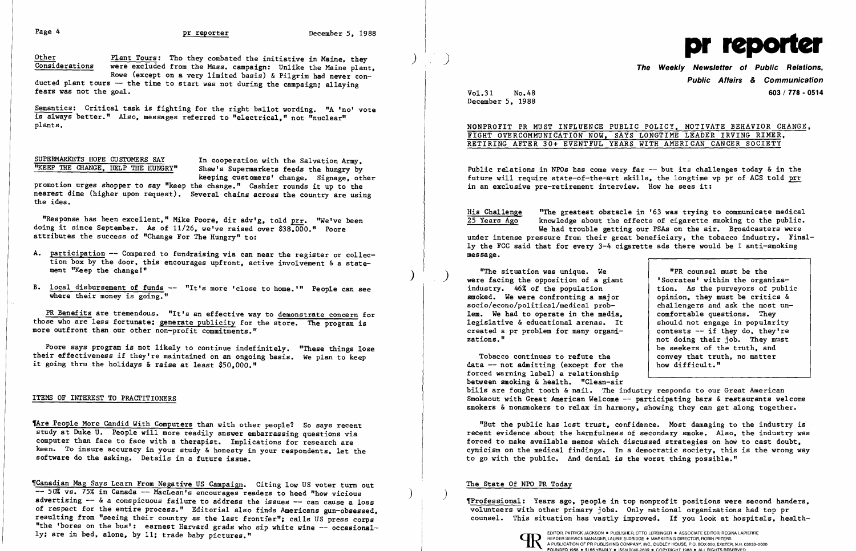Page 4 **pr reporter** December 5. 1988

Other **Plant Tours:** Tho they combated the initiative in Maine, they Considerations were excluded from the Mass. campaign: Unlike the Maine plant. Rowe (except on a very limited basis) & Pilgrim had never con-

ducted plant tours -- the time to start was not during the campaign; allaying fears was not the goal.

keeping customers' change. Signage. other promotion urges shopper to say "keep the change." Cashier rounds it up to the nearest dime (higher upon request). Several chains across the country are using the idea.

Semantics: Critical task is fighting for the right ballot wording. "A 'no' vote is always better." Also, messages referred to "electrical." not "nuclear" plants.

SUPERMARKETS HOPE CUSTOMERS SAY In cooperation with the Salvation Army,<br>"KEEP THE CHANGE, HELP THE HUNGRY" Shaw's Supermarkets feeds the hungry by Shaw's Supermarkets feeds the hungry by

"Response has been excellent," Mike Poore, dir adv'g, told prr. "We've been doing it since September. As of 11/26. we've raised over \$38,000." Poore attributes the success of "Change For The Hungry" to:

- A. participation -- Compared to fundraising via can near the register or collection box by the door, this encourages upfront, active involvement & a statement "Keep the change!"  $\overline{\phantom{a}}$
- B. local disbursement of funds -- "It's more 'close to home.'" People can see where their money is going."

TAre People More Candid With Computers than with other people? So says recent study at Duke U. People will more readily answer embarrassing questions via computer than face to face with a therapist. Implications for research are keen. To insure accuracy in your study & honesty in your respondents. let the software do the asking. Details in a future issue.

'Canadian Mag Says Learn From Negative US Campaign. Citing low US voter tum out -- 50% vs. 75% in Canada -- MacLean's encourages readers to heed "how vicious advertising -- & a conspicuous failure to address the issues -- can cause a loss and and the mathemal interstage, people in top nonprofit positions were second handers, of respect for the entire process." Editorial also fi of respect for the entire process." Editorial also finds Americans gun-obsessed, volunteers with other primary jobs. Only national organizations had top pr<br>resulting from "seeing their country as the last frontier": calls resulting from "seeing their country as the last frontier"; calls US press corps "the 'bores on the bus': earnest Harvard grads who sip white wine -- occasional-

Public relations in NPOs has come very far  $-$  but its challenges today  $\&$  in the future will require state-of-the-art skills. the longtime vp pr of ACS told prr in an exclusive pre-retirement interview. How he sees it:

.PR Benefits are tremendous. "It's an effective way to demonstrate concern for those who are less fortunate; generate publicity for the store. The program is more outfront than our other non-profit commitments."

His Challenge **"The greatest obstacle in '63 was trying to communicate medical**<br>25 Years Ago knowledge about the effects of cigarette smoking to the public. knowledge about the effects of cigarette smoking to the public. We had trouble getting our PSAs on the air. Broadcasters were under intense pressure from their great beneficiary, the tobacco industry. Finally the FCC said that for every 3-4 cigarette ads there would be 1 anti-smoking

Poore says program is not likely to continue indefinitely. "These things lose their effectiveness if they're maintained on an ongoing basis. We plan to keep it going thru the holidays & raise at least \$50.000."

"The situation was unique. We were facing the opposition of a giant industry. 46% of the population smoked. We were confronting a major socio/econo/political/medical problem. We had to operate in the media. legislative & educational arenas. It created a pr problem for many organizations."

## ITEMS OF INTEREST TO PRAcrITIONERS



The Weekly Newsletter of Public Relations, Public Affairs & Communication Vo1.3l No.48 603/ 778 - 0514

December 5. 1988

NONPROFIT PR MUST INFLUENCE PUBLIC POLICY. MOTIVATE BEHAVIOR CHANGE. FIGHT OVERCOMMUNICATION NOW, SAYS LONGTIME LEADER IRVING RIMER, RETIRING AFTER 30+ EVENTFUL YEARS WITH AMERICAN CANCER SOCIETY

message.

"PR counsel must be the 'Socrates' within the organization. As the purveyors of public opinion. they must be critics & challengers and ask the most uncomfortable questions. They should not engage in popularity contests  $-$  if they do, they're not doing their job. They must be seekers of the truth, and convey that truth. no matter

Tobacco continues to refute the data -- not admitting (except for the forced warning label) a relationship between smoking & health. "Clean-air how difficult." bills are fought tooth & nail. The industry responds to our Great American Smokeout with Great American Welcome -- participating bars & restaurants welcome smokers & nonsmokers to relax in harmony. showing they can get along together.

"But the public has lost trust. confidence. Most damaging to the industry is recent evidence about the harmfulness of secondary smoke. Also, the industry was forced to make available memos which discussed strategies on how to cast doubt. cynicism on the medical findings. In a democratic society. this is the wrong way to go with the public. And denial is the worst thing possible."

# The State Of NPO PR Today